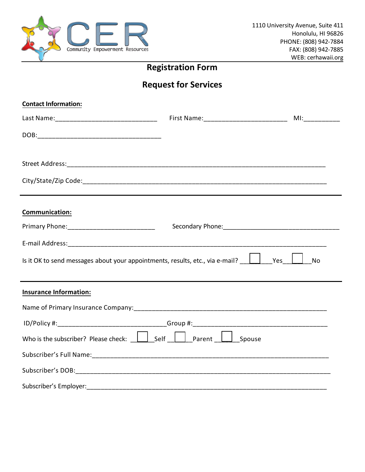

## **Registration Form**

## **Request for Services**

| <b>Contact Information:</b>                                                                                                      |  |
|----------------------------------------------------------------------------------------------------------------------------------|--|
|                                                                                                                                  |  |
|                                                                                                                                  |  |
|                                                                                                                                  |  |
|                                                                                                                                  |  |
| Communication:                                                                                                                   |  |
|                                                                                                                                  |  |
|                                                                                                                                  |  |
| Is it OK to send messages about your appointments, results, etc., via e-mail? $\boxed{\phantom{a}}$ Yes $\boxed{\phantom{a}}$ No |  |
| <b>Insurance Information:</b>                                                                                                    |  |
|                                                                                                                                  |  |
|                                                                                                                                  |  |
| Who is the subscriber? Please check: $\boxed{\phantom{a}}$ Self $\boxed{\phantom{a}}$ Parent $\boxed{\phantom{a}}$ Spouse        |  |
|                                                                                                                                  |  |
|                                                                                                                                  |  |
| Subscriber's Employer:                                                                                                           |  |